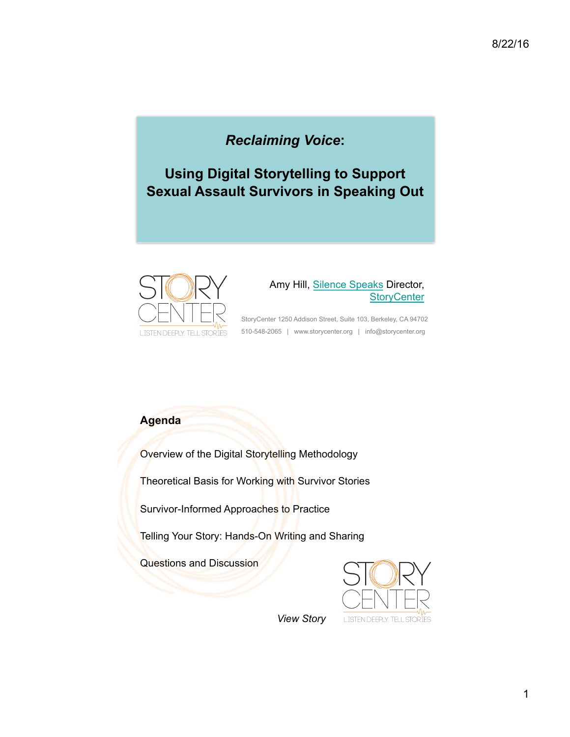# *Reclaiming Voice***:**

**Using Digital Storytelling to Support Sexual Assault Survivors in Speaking Out**



#### Amy Hill, Silence Speaks Director, **StoryCenter**

StoryCenter 1250 Addison Street, Suite 103, Berkeley, CA 94702 510-548-2065 | www.storycenter.org | info@storycenter.org

## **Agenda**

Overview of the Digital Storytelling Methodology

Theoretical Basis for Working with Survivor Stories

Survivor-Informed Approaches to Practice

Telling Your Story: Hands-On Writing and Sharing

Questions and Discussion



*View Story*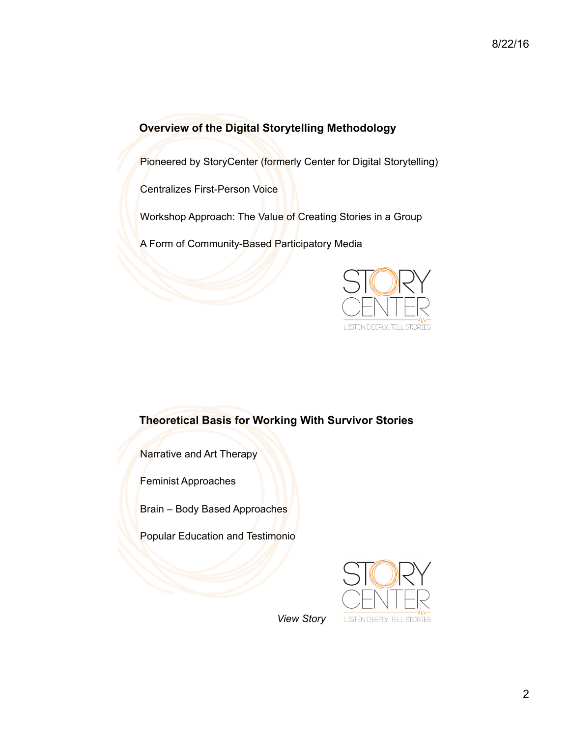# **Overview of the Digital Storytelling Methodology**

Pioneered by StoryCenter (formerly Center for Digital Storytelling)

Centralizes First-Person Voice

Workshop Approach: The Value of Creating Stories in a Group

A Form of Community-Based Participatory Media



#### **Theoretical Basis for Working With Survivor Stories**

Narrative and Art Therapy

Feminist Approaches

Brain – Body Based Approaches

Popular Education and Testimonio



*View Story*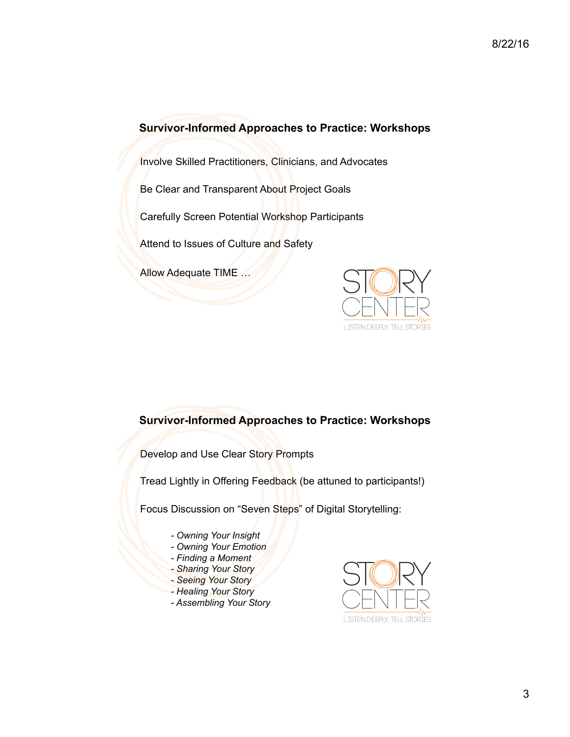#### **Survivor-Informed Approaches to Practice: Workshops**

Involve Skilled Practitioners, Clinicians, and Advocates

Be Clear and Transparent About Project Goals

Carefully Screen Potential Workshop Participants

Attend to Issues of Culture and Safety

Allow Adequate TIME …



#### **Survivor-Informed Approaches to Practice: Workshops**

Develop and Use Clear Story Prompts

Tread Lightly in Offering Feedback (be attuned to participants!)

Focus Discussion on "Seven Steps" of Digital Storytelling:

- *- Owning Your Insight*
- *- Owning Your Emotion*
- *- Finding a Moment*
- *- Sharing Your Story*
- *- Seeing Your Story*
- *- Healing Your Story*
- *- Assembling Your Story*

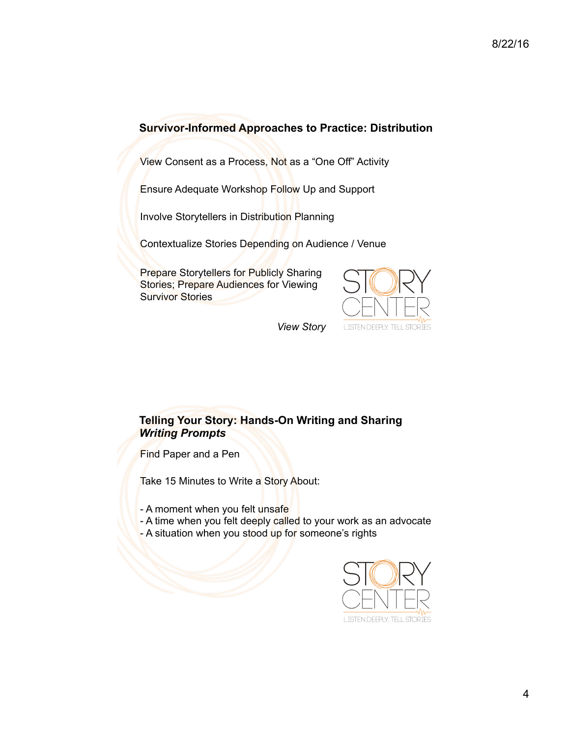## **Survivor-Informed Approaches to Practice: Distribution**

View Consent as a Process, Not as a "One Off" Activity

Ensure Adequate Workshop Follow Up and Support

Involve Storytellers in Distribution Planning

Contextualize Stories Depending on Audience / Venue

Prepare Storytellers for Publicly Sharing Stories; Prepare Audiences for Viewing Survivor Stories



*View Story*

#### **Telling Your Story: Hands-On Writing and Sharing** *Writing Prompts*

Find Paper and a Pen

Take 15 Minutes to Write a Story About:

- A moment when you felt unsafe
- A time when you felt deeply called to your work as an advocate
- A situation when you stood up for someone's rights